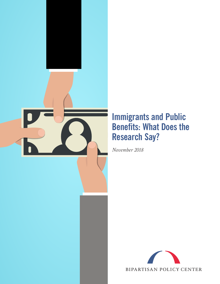

# **Immigrants and Public Benefits: What Does the Research Say?**

*November 2018*

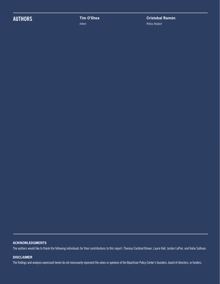## **AUTHORS Tim O'Shea**

*Intern*

**Cristobal Ramón** *Policy Analyst*

#### **ACKNOWLEDGMENTS**

The authors would like to thank the following individuals for their contributions to this report: Theresa Cardinal Brown, Laura Hall, Jordan LaPier, and Katie Sullivan.

#### **DISCLAIMER**

The findings and analysis expressed herein do not necessarily represent the views or opinions of the Bipartisan Policy Center's founders, board of directors, or funders.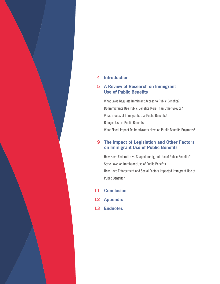#### **Introduction 4**

#### **A Review of Research on Immigrant 5 Use of Public Benefits**

What Laws Regulate Immigrant Access to Public Benefits? Do Immigrants Use Public Benefits More Than Other Groups? What Groups of Immigrants Use Public Benefits? Refugee Use of Public Benefits What Fiscal Impact Do Immigrants Have on Public Benefits Programs?

#### **The Impact of Legislation and Other Factors 9 on Immigrant Use of Public Benefits**

How Have Federal Laws Shaped Immigrant Use of Public Benefits? State Laws on Immigrant Use of Public Benefits How Have Enforcement and Social Factors Impacted Immigrant Use of Public Benefits?

- **Conclusion 11**
- **Appendix 12**
- **Endnotes 13**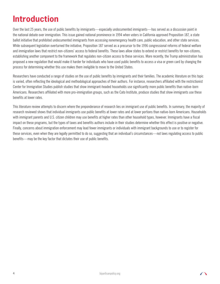# **Introduction**

Over the last 25 years, the use of public benefits by immigrants—especially undocumented immigrants—has served as a discussion point in the national debate over immigration. This issue gained national prominence in 1994 when voters in California approved Proposition 187, a state ballot initiative that prohibited undocumented immigrants from accessing nonemergency health care, public education, and other state services. While subsequent legislation overturned the initiative, Proposition 187 served as a precursor to the 1996 congressional reforms of federal welfare and immigration laws that restrict non-citizens' access to federal benefits. These laws allow states to extend or restrict benefits for non-citizens, establishing another component to the framework that regulates non-citizen access to these services. More recently, the Trump administration has proposed a new regulation that would make it harder for individuals who have used public benefits to access a visa or green card by changing the process for determining whether this use makes them ineligible to move to the United States.

Researchers have conducted a range of studies on the use of public benefits by immigrants and their families. The academic literature on this topic is varied, often reflecting the ideological and methodological approaches of their authors. For instance, researchers affiliated with the restrictionist Center for Immigration Studies publish studies that show immigrant-headed households use significantly more public benefits than native-born Americans. Researchers affiliated with more pro-immigration groups, such as the Cato Institute, produce studies that show immigrants use these benefits at lower rates.

This literature review attempts to discern where the preponderance of research lies on immigrant use of public benefits. In summary, the majority of research reviewed shows that individual immigrants use public benefits at lower rates and at lower portions than native-born Americans. Households with immigrant parents and U.S. citizen children may use benefits at higher rates than other household types, however. Immigrants have a fiscal impact on these programs, but the types of taxes and benefits authors include in their studies determine whether this effect is positive or negative. Finally, concerns about immigration enforcement may lead fewer immigrants or individuals with immigrant backgrounds to use or to register for these services, even when they are legally permitted to do so, suggesting that an individual's circumstances—not laws regulating access to public benefits—may be the key factor that dictates their use of public benefits.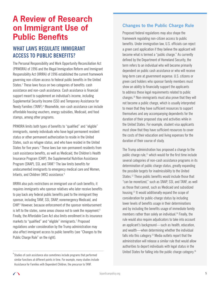## **A Review of Research on Immigrant Use of Public Benefits**

## **WHAT LAWS REGULATE IMMIGRANT ACCESS TO PUBLIC BENEFITS?**

The Personal Responsibility and Work Opportunity Reconciliation Act (PRWORA) of 1996 and the Illegal Immigration Reform and Immigrant Responsibility Act (IIRIRA) of 1996 established the current framework governing non-citizen access to federal public benefits in the United States.<sup>1</sup> These laws focus on two categories of benefits: cash assistance and non-cash assistance. Cash assistance is financial support meant to supplement an individual's income, including Supplemental Security Income (SSI) and Temporary Assistance for Needy Families (TANF).<sup>a</sup> Meanwhile, non-cash assistance can include affordable housing vouchers, energy subsidies, Medicaid, and food stamps, among other programs.

PRWORA limits both types of benefits to "qualified" and "eligible" immigrants, namely individuals who have legal permanent resident status or other permanent authorization to reside in the United States, such as refugee status, and who have resided in the United States for five years.<sup>2</sup> These laws bar non-permanent residents from cash assistance benefits, as well as Medicaid, the Children's Health Insurance Program (CHIP), the Supplemental Nutrition Assistance Program (SNAP), SSI, and TANF.<sup>3</sup> The law limits benefits for undocumented immigrants to emergency medical care and Women, Infants, and Children (WIC) assistance.<sup>4</sup>

IIRIRA also puts restrictions on immigrant use of cash benefits; it requires immigrants who sponsor relatives who later receive benefits to pay back any federal public benefits paid to the immigrant they sponsor, including TANF, SSI, SNAP, nonemergency Medicaid, and CHIP.<sup>5</sup> However, because enforcement of the sponsor reimbursement is left to the states, some areas choose not to seek the repayment.<sup>6</sup> Finally, the Affordable Care Act also limits enrollment in its insurance markets to "qualified" and "eligible" immigrants.<sup>7</sup> Proposed regulations under consideration by the Trump administration may also affect immigrant access to public benefits (see "Changes to the Public Charge Rule" on the right).

#### **Changes to the Public Charge Rule**

Proposed federal regulations may also shape the framework regulating non-citizen access to public benefits. Under immigration law, U.S. officials can reject a green card application if they believe the applicant will become what is termed a "public charge." As currently defined by the Department of Homeland Security, the term refers to an individual who will become primarily dependent on public cash assistance or who will receive long-term care at government expense. U.S. citizens or green card holders who sponsor family members must show an ability to financially support the applicants to address these legal requirements related to public charges.10 Non-immigrants must also prove that they will not become a public charge, which is usually interpreted to mean that they have sufficient resources to support themselves and any accompanying dependents for the duration of their proposed stay and activities while in the United States. For example, student visa applicants must show that they have sufficient resources to cover the costs of their education and living expenses for the duration of their course of study.

The Trump administration has proposed a change to the public charge rule, $11$  which would for the first time include several categories of non-cash assistance programs in its determination of public charge status, greatly expanding the possible targets for inadmissibility to the United States.<sup>12</sup> These public benefits would include those that "can be monetized," such as SNAP, SSI, and TANF, as well as those that cannot, such as Medicaid and subsidized housing.13 It would additionally expand the scope of consideration for public-charge status by including lower levels of benefits usage in their determinations and by including the benefits usage of immediate family members rather than solely an individual.<sup>14</sup> Finally, the rule would also require adjudicators to take into account an applicant's background—such as health, education, and wealth—when determining whether the individual falls into this category.<sup>15</sup> Media outlets report that the administration will release a similar rule that would allow authorities to deport individuals with legal status in the United States for falling into the public charge category.<sup>16</sup>

 $\mathrm{^{a}}$ Studies of cash assistance also sometimes include programs that performed similar functions at different points in time. For example, many studies include Assistance for Families with Dependent Children, the precursor to TANF.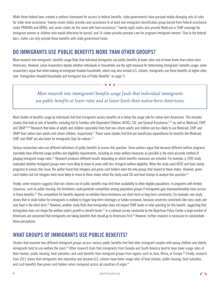While these federal laws created a uniform framework for access to federal benefits, state governments have pursued widely diverging sets of rules for state-level assistance. Twenty-seven states provide cash assistance to at least one immigrant classification group barred from federal assistance under PRWORA and IIRIRA, and seven states do the same with food assistance.<sup>8</sup> Twenty-eight states also provide Medicaid or CHIP coverage for immigrant women or children who would otherwise be barred, and 14 states provide prenatal care for pregnant immigrant women.<sup>9</sup> Due to the federal bars, states can only provide these benefits with state government funds.

### **DO IMMIGRANTS USE PUBLIC BENEFITS MORE THAN OTHER GROUPS?**

Most research into immigrants' benefits usage finds that individual immigrants use public benefits at lower rates and at lower levels than native-born Americans. However, some researchers debate whether individuals or households are the right measure for determining immigrants' benefits usage; some researchers argue that when looking at immigrant-headed households, which may also include U.S. citizens, immigrants use these benefits at higher rates (see "Immigration-Headed Households and Immigrant Use of Public Benefits" on page 7).

#### *Most research into immigrants' benefits usage finds that individual immigrants use public benefits at lower rates and at lower levels than native-born Americans.*

Most studies of benefits usage by individuals find that immigrants access benefits at or below the usage rate for native-born Americans. This includes studies that look at sets of benefits, including Aid to Families with Dependent Children (AFDC), SSI, and General Assistance, 17,18 as well as Medicaid, CHIP, and SNAP.19,20 Research that looks at adults and children separately finds that non-citizen adults and children are less likely to use Medicaid, CHIP, and SNAP than native-born adults and citizen children, respectively.<sup>21</sup> These same studies find that per-beneficiary expenditures for benefits like Medicaid, CHIP, and SNAP are also lower for immigrants than for natives.<sup>22</sup>

Various researchers also use different definitions of public benefits to assess this question. Some authors argue that because different welfare programs inevitably have different usage profiles and eligibility requirements, including as many welfare measures as possible is the most accurate method of gauging immigrant usage rates.<sup>23</sup> Research produces different results depending on which benefits measures are included. For example, a 1999 study evaluated whether immigrant groups were more likely to move to areas with less stringent welfare eligibility. When the study used AFDC and food-stamp programs to assess this issue, the author found that refugees and green card holders were the only groups that moved to these states. However, green card holders but not refugees were more likely to move to these states when the study used SSI and food stamps to analyze this question.<sup>24</sup>

Finally, some research suggests that non-citizen use of public benefits may limit their availability to other eligible populations. In programs with limited resources, such as public housing, the limitations could generate competition among population groups if immigrants gain disproportionately more access to these benefits.<sup>25</sup> This competition for benefits depends on whether these limitations are short-term or long-term constraints. For example, one study shows that in-state tuition for immigrants is unlikely to trigger long-term shortages or tuition increases, because university constraints like class seats are only fixed in the short term.<sup>26</sup> However, another study finds that immigration does not impact TANF levels or total spending for this benefit, suggesting that immigration does not shape the welfare state's growth or benefit levels.<sup>27</sup> In a national survey conducted by the Bipartisan Policy Center a large number of Americans are concerned that immigrants are taking benefits that should go to Americans first.<sup>28</sup> However, further research is necessary to substantiate these perceptions.

### **WHAT GROUPS OF IMMIGRANTS USE PUBLIC BENEFITS?**

Studies that examine how different immigrant groups access various public benefits find that older immigrant couples with young children and elderly immigrants tend to use welfare the most.<sup>39</sup> Other research finds that immigrants from Canada and South America tend to have lower usage rates of food stamps, public housing, heat subsidies, and cash benefits than immigrant groups from regions such as Asia, Africa, or Europe.40 Finally, research from 2011 shows that immigrants who naturalize and become U.S. citizens have lower usage rates of food stamps, public housing, heat subsidies, and cash benefits than green card holders when compared across all countries of origin.<sup>41</sup>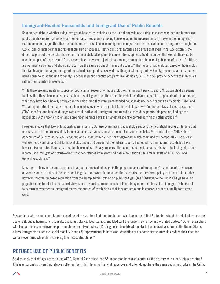#### **Immigrant-Headed Households and Immigrant Use of Public Benefits**

Researchers debate whether using immigrant-headed households as the unit of analysis accurately assesses whether immigrants use public benefits more than native-born Americans. Proponents of using households as the measure, mostly those in the immigrationrestriction camp, argue that this method is more precise because immigrants can gain access to social benefits programs through their U.S. citizen or legal permanent resident children or spouses. Restrictionist researchers also argue that even if the U.S. citizen is the direct recipient of the benefit, the rest of the household also gains, because it frees up household resources that would otherwise be used in support of the citizen.<sup>29</sup> Other researchers, however, reject this approach, arguing that the use of public benefits by U.S. citizens are permissible by law and should not count as the same as direct immigrant access.<sup>30</sup> They assert that analyses based on households that fail to adjust for larger immigrant household sizes produce skewed results against immigrants.<sup>31</sup> Finally, these researchers oppose using households as the unit for analysis because public benefits programs like Medicaid, CHIP, and SSI provide benefits to individuals rather than to entire households.<sup>32</sup>

While there are arguments in support of both claims, research on households with immigrant parents and U.S. citizen children seems to show that those households may use benefits at higher rates than other household configurations. The proponents of this approach, while they have been heavily critiqued in their field, find that immigrant-headed households use benefits such as Medicaid, TANF, and WIC at higher rates than native-headed households, even when adjusted for household size.<sup>33,34</sup> Another analysis of cash assistance, SNAP benefits, and Medicaid usage rates by all-native, all-immigrant, and mixed households supports this position, finding that households with citizen children and non-citizen parents have the highest usage rate compared with the other groups.<sup>35</sup>

However, studies that look only at cash assistance and SSI use by immigrant households support the household approach, finding that non-citizen children are less likely to receive benefits than citizen children in all-citizen households.36 In particular, a 2016 National Academies of Science study, *The Economic and Fiscal Consequences of Immigration*, which examined the comparative use of cash welfare, food stamps, and SSI for households under 200 percent of the federal poverty line found that immigrant households have lower utilization rates than native-headed households.<sup>37</sup> Finally, research that controls for social characteristics—including education, income, and immigration status—finds that non-refugee immigrant and native households use similar levels of AFDC, SSI, and General Assistance.<sup>38</sup>

Most researchers in this area continue to argue that individual usage is the proper measure of immigrants' use of benefits. However, advocates on both sides of the issue tend to gravitate toward the research that supports their preferred policy positions. It is notable, however, that the proposed regulation from the Trump administration on public charges (see "Changes to the Public Charge Rule" on page 5) seems to take the household view, since it would examine the use of benefits by other members of an immigrant's household to determine whether an immigrant meets the burden of establishing that they are not a public charge in order to qualify for a green card.

Researchers who examine immigrants use of benefits over time find that immigrants who live in the United States for extended periods decrease their use of SSI, public housing/rent subsidy, public assistance, food stamps, and Medicaid the longer they reside in the United States.<sup>42</sup> Other researchers who look at this issue believe this pattern stems from two factors: (1) using social benefits at the start of an individual's time in the United States allows immigrants to achieve social mobility,43 and (2) improvements in immigrant education or economic status may also reduce their need for welfare over time, while still increasing their tax contributions.<sup>44</sup>

#### **REFUGEE USE OF PUBLIC BENEFITS**

Studies show that refugees tend to use AFDC, General Assistance, and SSI more than immigrants entering the country with a non-refugee status.<sup>45</sup> This is unsurprising given that refugees often arrive with little or no financial resources and often do not have the same social networks in the United

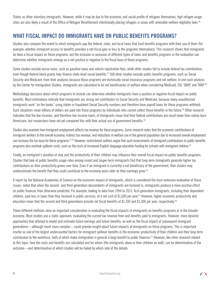States as other voluntary immigrants. However, while it may be due to the economic and social profile of refugees themselves, high refugee usage rates are also likely a result of the Office of Refugee Resettlement intentionally placing refugees in areas with amenable welfare-eligibility laws.<sup>46</sup>

#### **WHAT FISCAL IMPACT DO IMMIGRANTS HAVE ON PUBLIC BENEFITS PROGRAMS?**

Studies also compare the extent to which immigrants pay the federal, state, and local taxes that fund benefits programs with their use of them (for example, whether immigrant access to benefits provides a net fiscal gain or loss to the programs themselves). This research shows that immigrants do have a fiscal impact on these programs, but the inclusion or exclusion of different types of taxes and benefits programs in the evaluation can determine whether immigrants emerge as a net positive or negative to the fiscal base of these programs.

Some studies exclude excise taxes, such as gasoline taxes and vehicle registration fees, while other studies fail to include federal tax contributions even though federal block grants help finance state-level social benefits.<sup>47</sup> Still other studies exclude public benefits programs, such as Social Security and Medicare, from their analyses because those programs are technically social insurance programs and not welfare. In one such analysis by the Center for Immigration Studies, immigrants are calculated to be net beneficiaries of welfare when considering Medicaid, SSI, SNAP, and TANF.<sup>48</sup>

Methodology decisions about which programs to include can determine whether immigrants have a positive or negative fiscal impact on public benefits. Most estimations indicate that immigrants are strong net contributors to Social Security and Medicare, because many unauthorized immigrants work "on the books" using stolen or fraudulent Social Security numbers and therefore have payroll taxes for these programs withheld. Such situations mean billions of dollars are paid into those programs by individuals who cannot collect those benefits in the future.<sup>49</sup> Other research indicates that the low incomes, and therefore low-income taxes, of immigrants mean that their federal contributions are much lower than native-born Americans, but researchers have not yet compared this with their actual use of government benefits.<sup>50</sup>

Studies also examine how immigrant employment affects tax revenue for these programs. Some research notes that the economic contributions of immigrant workers to the overall economy, indirect tax revenue, and reductions in welfare use in the general population due to increased overall employment can increase the tax base for these programs.<sup>51,52</sup> However, restrictionist authors argue that such assessments of immigrant contributions to public benefits programs also overlook spillover costs, such as the costs of increased English-language education funding for schools with immigrant children.<sup>53</sup>

Finally, an immigrant's duration of stay and the productivity of their children may influence their overall fiscal impact on public benefits programs. Studies that look at public benefits usage rates among recent and longer-term immigrants find that long-term immigrants generate higher tax contributions as their productivity grows over time. Even if an immigrant is currently a net beneficiary of the government, then studies may underestimate the benefit that they could contribute to the economy years later as their earnings grow.54

A report by the National Academies of Science on the economic impact of immigrants, which is considered the most extensive evaluation of these issues, noted that when the second- and third-generation descendants of immigrants are factored in, immigrants produce a more positive effect on public finances than otherwise predicted. For example, looking to data from 1994 to 2013, first-generation immigrants, including their dependent children, paid less in taxes than they received in public services, at a net cost of \$1,600 per year.55 However, higher economic productivity and education mean that the second and third generations provide net fiscal benefits of \$1,700 and \$1,300 per year, respectively.56

These different methods raise an important consideration in evaluating the fiscal impacts of immigrants on benefits programs or in the broader economy. Most studies use a static approach, evaluating the current tax revenue from and benefits paid to immigrants. However, more dynamic approaches that attempt to model and estimate future earnings and future benefits, as well as the fiscal impact of subsequent immigrant generations—although much more complex—could provide insight about future impacts of immigrants on these programs. This is important insofar as one of the largest undercounted factors for immigrant spillover benefits is the economic productivity of their children and their long-term contribution to the workforce, both of which make immigration in general a large benefit to public finances.57 However, like other research related to this topic, how the costs and benefits are calculated and for whom (the immigrants alone or their children as well), can be determinative of the outcome—and determinative of which studies will be hailed by which side of the debate.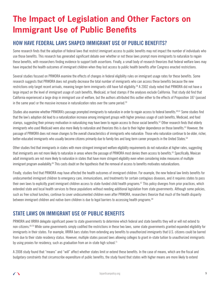# **The Impact of Legislation and Other Factors on Immigrant Use of Public Benefits**

### **HOW HAVE FEDERAL LAWS SHAPED IMMIGRANT USE OF PUBLIC BENEFITS?**

Some research finds that the adoption of federal laws that restrict immigrant access to public benefits may not impact the number of individuals who use those benefits. This research has generated significant debate over whether or not these laws prompt more immigrants to naturalize to regain these benefits, with researchers finding evidence to support both assertions. Finally, a small body of research theorizes that federal welfare laws may have impacted the health outcomes of immigrant children when they lost access to public health benefits after Congress enacted restrictions.

Several studies focused on PRWORA examine the effects of changes in federal eligibility rules on immigrant usage rates for these benefits. Some research suggests that PRWORA does not greatly decrease the total number of immigrants who can access these benefits because the new restrictions only target recent arrivals, meaning longer-term immigrants still have full eligibility.<sup>58</sup> A 2002 study noted that PRWORA did not have a large impact on the level of immigrant usage of cash benefits, Medicaid, or food stamps if the analyses exclude California. That study did find that California experienced a large drop in immigrant use of welfare, but the authors attributed this outlier either to the effects of Proposition 187 (passed in the same year) or the massive increase in naturalization rates over the same period.<sup>59</sup>

Studies also examine whether PRWORA's passage prompted immigrants to naturalize in order to regain access to federal benefits.<sup>60,61</sup> Some studies find that the law's adoption did lead to a naturalization increase among immigrant groups with higher previous usage of cash benefits, Medicaid, and food stamps, suggesting their primary motivation in naturalizing may have been to regain access to those social benefits.<sup>62</sup> Other research finds that elderly immigrants who used Medicaid were also more likely to naturalize and theorizes this is due to their higher dependence on those benefits.<sup>63</sup> However, the passage of PRWORA does not mean changes to the overall characteristics of immigrants who naturalize: Those who naturalize continue to be older, richer, better-educated immigrants who usually become citizens primarily due to family ties and long-term career prospects in the United States.<sup>64</sup>

Other studies find that immigrants in states with more stringent immigrant welfare eligibility requirements do not naturalize at higher rates, suggesting that immigrants are not more likely to naturalize in areas where the passage of PRWORA most denies them access to benefits.<sup>65</sup> Specifically, Mexican adult immigrants are not more likely to naturalize in states that have more stringent eligibility even when considering index measures of multiple immigrant program availability.<sup>66</sup> This casts doubt on the hypothesis that the removal of access to benefits motivates naturalizations.

Finally, studies find that PRWORA may have affected the health outcomes of immigrant children. For example, the new federal law limits benefits for undocumented immigrant children to emergency care, immunizations, and treatments for certain contagious diseases, and it requires states to pass their own laws to explicitly grant immigrant children access to state-funded child health programs.<sup>67</sup> This policy diverges from prior practices, which extended state and local health services to these populations without needing additional legislation from state governments. Although some policies, such as free school lunches, continue to cover undocumented children even after PRWORA, researchers theorize that much of the health disparity between immigrant children and native-born children is due to legal barriers to accessing health programs.<sup>68</sup>

### **STATE LAWS ON IMMIGRANT USE OF PUBLIC BENEFITS**

PRWORA and IIRIRA delegate significant power to state governments to determine which federal and state benefits they will or will not extend to non-citizens.<sup>69,70</sup> While some governments simply codified the restrictions in these two laws, some state governments granted expanded eligibility for immigrants in their states. For example, IIRIRA bars states from extending any benefits to unauthorized immigrants that U.S. citizens could be barred from due to their state residency status. However, multiple states passed laws allowing colleges to grant in-state tuition to unauthorized immigrants by using proxies for residency, such as graduation from an in-state high school.<sup>71</sup>

A 2008 study found that "means" and "will" affect whether states limit or extend these benefits. In the case of means, which are the fiscal and budgetary constraints that circumscribe expenditure of public benefits, the study found that states with higher means are more likely to extend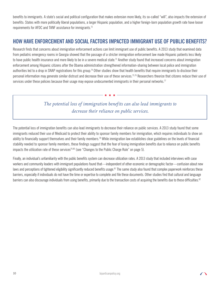benefits to immigrants. A state's social and political configuration that makes extension more likely, its so-called "will", also impacts the extension of benefits: States with more politically liberal populations, a larger Hispanic population, and a higher foreign-born population growth rate have looser requirements for AFDC and TANF assistance for immigrants.<sup>72</sup>

#### **HOW HAVE ENFORCEMENT AND SOCIAL FACTORS IMPACTED IMMIGRANT USE OF PUBLIC BENEFITS?**

Research finds that concerns about immigration enforcement actions can limit immigrant use of public benefits. A 2013 study that examined data from pediatric emergency rooms in Georgia showed that the passage of a stricter immigration enforcement law made Hispanic patients less likely to have public health insurance and more likely to be in a severe medical state.<sup>73</sup> Another study found that increased concerns about immigration enforcement among Hispanic citizens after the Obama administration strengthened information-sharing between local police and immigration authorities led to a drop in SNAP registrations for this group.<sup>74</sup> Other studies show that health benefits that require immigrants to disclose their personal information may generate similar distrust and decrease their use of these services.<sup>75,76</sup> Researchers theorize that citizens reduce their use of services under these policies because their usage may expose undocumented immigrants in their personal networks.<sup>77</sup>

### *The potential loss of immigration benefits can also lead immigrants to decrease their reliance on public services.*

The potential loss of immigration benefits can also lead immigrants to decrease their reliance on public services. A 2013 study found that some immigrants reduced their use of Medicaid to protect their ability to sponsor family members for immigration, which requires individuals to show an ability to financially support themselves and their family members.<sup>78</sup> While immigration law establishes clear guidelines on the levels of financial stability needed to sponsor family members, these findings suggest that the fear of losing immigration benefits due to reliance on public benefits impacts the utilization rate of these services<sup>79,80</sup> (see "Changes to the Public Charge Rule" on page 5).

Finally, an individual's unfamiliarity with the public benefits system can decrease utilization rates. A 2013 study that included interviews with case workers and community leaders with immigrant populations found that—independent of other economic or demographic factor—confusion about new laws and perceptions of tightened eligibility significantly reduced benefits usage.<sup>81</sup> The same study also found that complex paperwork reinforces these barriers, especially if individuals do not have the time or expertise to complete and file these documents. Other studies find that cultural and language barriers can also discourage individuals from using benefits, primarily due to the transaction costs of acquiring the benefits due to these difficulties.<sup>82</sup>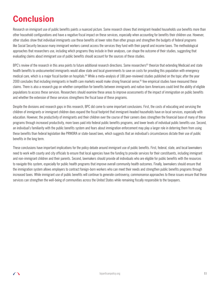# **Conclusion**

Research on immigrant use of public benefits paints a nuanced picture. Some research shows that immigrant-headed households use benefits more than other household configurations and have a negative fiscal impact on these services, especially when accounting for benefits their children use. However, other studies show that individual immigrants use these benefits at lower rates than other groups and strengthen the budgets of federal programs like Social Security because many immigrant workers cannot access the services they fund with their payroll and income taxes. The methodological approaches that researchers use, including which programs they include in their analyses, can shape the outcome of their studies, suggesting that evaluating claims about immigrant use of public benefits should account for the sources of these studies.

BPC's review of the research in this area points to future additional research directions. Some researchers<sup>83</sup> theorize that extending Medicaid and state health benefits to undocumented immigrants would allow state and local governments to save on costs for providing this population with emergency medical care, which is a major fiscal burden on hospitals.<sup>84</sup> While a meta-analysis of 188 peer-reviewed studies published on the topic after the year 2000 concludes that including immigrants in health care markets would make strong financial sense,<sup>85</sup> few empirical studies have measured these claims. There is also a research gap on whether competition for benefits between immigrants and native-born Americans could limit the ability of eligible populations to access these services. Researchers should examine these areas to improve assessments of the impact of immigration on public benefits and whether the extension of these services strengthens the fiscal base of these programs.

Despite the divisions and research gaps in this research, BPC did come to some important conclusions. First, the costs of educating and servicing the children of immigrants or immigrant children does expand the fiscal footprint that immigrant-headed households have on local services, especially with education. However, the productivity of immigrants and their children over the course of their careers does strengthen the financial base of many of these programs through increased productivity, more taxes paid into federal public benefits programs, and lower levels of individual public benefits use. Second, an individual's familiarity with the public benefits system and fears about immigration enforcement may play a larger role in deterring them from using these benefits than federal legislation like PRWORA or state-based laws, which suggests that an individual's circumstances dictate their use of public benefits in the long term.

These conclusions have important implications for the policy debate around immigrant use of public benefits. First, federal, state, and local lawmakers need to work with county and city officials to ensure that local agencies have the funding to provide services for their constituents, including immigrant and non-immigrant children and their parents. Second, lawmakers should provide all individuals who are eligible for public benefits with the resources to navigate this system, especially for public health programs that improve overall community health outcomes. Finally, lawmakers should ensure that the immigration system allows employers to contract foreign-born workers who can meet their needs and strengthen public benefits programs through increased taxes. While immigrant use of public benefits will continue to generate controversy, commonsense approaches to these issues ensure that these services can strengthen the well-being of communities across the United States while remaining fiscally responsible to the taxpayers.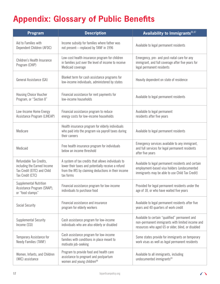# **Appendix: Glossary of Public Benefits**

| Program                                                                                                   | <b>Description</b>                                                                                                                                                           | Availability to Immigrants <sup>86,87</sup>                                                                                                              |
|-----------------------------------------------------------------------------------------------------------|------------------------------------------------------------------------------------------------------------------------------------------------------------------------------|----------------------------------------------------------------------------------------------------------------------------------------------------------|
| Aid to Families with<br>Dependent Children (AFDC)                                                         | Income subsidy for families where father was<br>not present-replaced by TANF in 1996                                                                                         | Available to legal permanent residents                                                                                                                   |
| Children's Health Insurance<br>Program (CHIP)                                                             | Low-cost health insurance program for children<br>in families just over the level of income to receive<br>Medicaid coverage                                                  | Emergency, pre- and post-natal care for any<br>immigrant, and full coverage after five years for<br>legal permanent residents                            |
| General Assistance (GA)                                                                                   | Blanket term for cash assistance programs for<br>low-income individuals, administered by states                                                                              | Heavily dependent on state of residence                                                                                                                  |
| <b>Housing Choice Voucher</b><br>Program, or "Section 8"                                                  | Financial assistance for rent payments for<br>low-income households                                                                                                          | Available to legal permanent residents                                                                                                                   |
| Low-Income Home Energy<br>Assistance Program (LIHEAP)                                                     | Financial assistance program to reduce<br>energy costs for low-income households                                                                                             | Available to legal permanent<br>residents after five years                                                                                               |
| Medicare                                                                                                  | Health insurance program for elderly individuals<br>who paid into the program via payroll taxes during<br>their careers                                                      | Available to legal permanent residents                                                                                                                   |
| Medicaid                                                                                                  | Free health insurance program for individuals<br>below an income threshold                                                                                                   | Emergency services available to any immigrant,<br>and full services for legal permanent residents<br>after five years                                    |
| Refundable Tax Credits,<br>including the Earned Income<br>Tax Credit (EITC) and Child<br>Tax Credit (CTC) | A system of tax credits that allows individuals to<br>lower their taxes and potentially receive a refund<br>from the IRS by claiming deductions in their income<br>tax forms | Available to legal permanent residents and certain<br>employment-based visa holders (undocumented<br>immigrants may be able to use Child Tax Credit)     |
| Supplemental Nutrition<br>Assistance Program (SNAP),<br>or "food stamps"                                  | Financial assistance program for low-income<br>individuals to purchase food                                                                                                  | Provided for legal permanent residents under the<br>age of 18, or who have waited five years                                                             |
| <b>Social Security</b>                                                                                    | Financial assistance and insurance<br>program for elderly workers                                                                                                            | Available to legal permanent residents after five<br>years and 40 quarters of work credit                                                                |
| Supplemental Security<br>Income (SSI)                                                                     | Cash assistance program for low-income<br>individuals who are also elderly or disabled                                                                                       | Available to certain "qualified" permanent and<br>non-permanent immigrants with limited income and<br>resources who aged 65 or older, blind, or disabled |
| Temporary Assistance for<br>Needy Families (TANF)                                                         | Cash assistance program for low-income<br>families with conditions in place meant to<br>motivate job-seeking                                                                 | Some states provide for immigrants on temporary<br>work visas as well as legal permanent residents                                                       |
| Women, Infants, and Children<br>(WIC) assistance                                                          | Program to provide food and health care<br>assistance to pregnant and postpartum<br>women and young children <sup>88</sup>                                                   | Available to all immigrants, including<br>undocumented immigrants <sup>89</sup>                                                                          |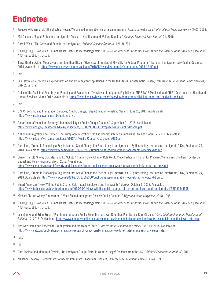## **Endnotes**

- <sup>1</sup> Jacqueline Hagan, et al, "The Effects of Recent Welfare and Immigration Reforms on Immigrants' Access to Health Care," *International Migration Review*, 37(2), 2003.
- <sup>2</sup> Mel Cousins, "Equal Protection: Immigrants' Access to Healthcare and Welfare Benefits," *Hastings Poverty & Law Journal*, 21, 2015.
- <sup>3</sup> Darrell West, "The Costs and Benefits of Immigration," *Political Science Quarterly*, 126(3), 2011.
- <sup>4</sup> Bill Ong Hing, "How Much Do Immigrants Cost? The Methodology Wars," in: *To Be an American: Cultural Pluralism and the Rhetoric of Assimilation* (New York: NYU Press, 1997), 76-106.
- <sup>5</sup> Tanya Broder, Avideh Moussavian, and Jonathan Blazer, "Overview of Immigrant Eligibility for Federal Programs," National Immigration Law Center, December 2015. Available at: https://www.nilc.org/wp-content/uploads/2015/12/overview-immeligfedprograms-2015-12-09.pdf.

<sup>6</sup> Ibid.

- <sup>7</sup> Lila Flavin, et al, "Medical Expenditures on and by Immigrant Populations in the United States: A Systematic Review," *International Journal of Health Services*, 0(0), 2018, 1-21.
- 8 Office of the Assistant Secretary for Planning and Evaluation, "Overview of Immigrants Eligibility for SNAP, TANF, Medicaid, and CHIP," Department of Health and Human Services, March 2012. Available at: https://aspe.hhs.gov/basic-report/overview-immigrants-eligibility-snap-tanf-medicaid-and-chip.

 $9$  Ibid.

- <sup>10</sup> U.S. Citizenship and Immigration Services, "Public Charge," Department of Homeland Security, June 26, 2017. Available at: https://www.uscis.gov/greencard/public-charge.
- <sup>11</sup> Department of Homeland Security, "Inadmissibility on Public Charge Grounds," September 21, 2018. Available at: https://www.dhs.gov/sites/default/files/publications/18\_0921\_USCIS\_Proposed-Rule-Public-Charge.pdf.
- <sup>12</sup> National Immigration Law Center, "The Trump Administration's 'Public Charge' Attack on Immigrant Families," April 12, 2018. Available at: https://www.nilc.org/wp-content/uploads/2018/01/Public-Charge-Fact-Sheet-2018.pdf.
- <sup>13</sup> Dara Lind, "Trump Is Proposing a Regulation that Could Change the Face of Legal Immigration—By Restricting Low-Income Immigrants," *Vox*, September 24, 2018. Available at: https://www.vox.com/2018/9/24/17892350/public-charge-immigration-food-stamps-medicaid-trump.
- <sup>14</sup> Sharon Parrott, Shelby Gonzales, and Liz Schott, "Trump 'Public Charge' Rule Would Prove Particularly Harsh for Pregnant Women and Children," Center on Budget and Policy Priorities, May 1, 2018. Available at: https://www.cbpp.org/research/poverty-and-inequality/trump-public-charge-rule-would-prove-particularly-harsh-for-pregnant.
- <sup>15</sup> Dara Lind, "Trump Is Proposing a Regulation that Could Change the Face of Legal Immigration—By Restricting Low-Income Immigrants," *Vox*, September 24, 2018. Available at: https://www.vox.com/2018/9/24/17892350/public-charge-immigration-food-stamps-medicaid-trump.
- <sup>16</sup> Stuart Anderson, "How Will the Public Charge Rule Impact Employers and Immigrants," *Forbes*, October 1, 2018. Available at: https://www.forbes.com/sites/stuartanderson/2018/10/01/how-will-the-public-charge-rule-harm-employers-and-immigrants/#33f9593a4995.
- <sup>17</sup> Michael Fix and Wendy Zimmerman, "When Should Immigrants Receive Public Benefits?" *Migration World Magazine*, 23(5), 1995.
- <sup>18</sup> Bill Ong Hing, "How Much Do Immigrants Cost? The Methodology Wars," in: *To Be an American: Cultural Pluralism and the Rhetoric of Assimilation* (New York: NYU Press, 1997), 76-106.
- <sup>19</sup> Leighton Ku and Brian Bruen, "Poor Immigrants Use Public Benefits at a Lower Rate than Poor Native-Born Citizens," *Cato Institute Economic Development Bulletin*, 17, 2013. Available at: https://www.cato.org/publications/economic-development-bulletin/poor-immigrants-use-public-benefits-lower-rate-poor.
- <sup>20</sup> Alex Nowrasteh and Robert Orr, "Immigration and the Welfare State," *Cato Institute Research and Policy Brief*, 10, 2018. Available at: https://www.cato.org/publications/immigration-research-policy-brief/immigration-welfare-state-immigrant-native-use-rates.
- <sup>21</sup> Ibid.
- <sup>22</sup> Ibid.
- <sup>23</sup> Ruth Oyelere and Maharouf Oyolola, "Do Immigrant Groups Differ in Welfare Usage? Evidence from the U.S.," *Atlantic Economic Journal*, 39, 2011.
- <sup>24</sup> Madeline Zavodny, "Determinants of Recent Immigrants' Locational Choices," *International Migration Review*, 33(4), 1999.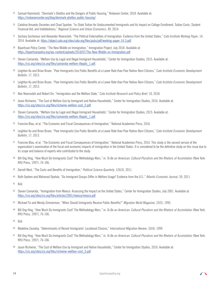- <sup>25</sup> Samuel Hammond, "Denmark's Ghettos and the Dangers of Public Housing," Niskanen Center, 2018. Available at: https://niskanencenter.org/blog/denmark-ghettos-public-housing/.
- <sup>26</sup> Catalina Amuedo-Dorantes and Chad Sparber, "In-State Tuition for Undocumented Immigrants and Its Impact on College Enrollment, Tuition Costs, Student Financial Aid, and Indebtedness," *Regional Science and Urban Economics*, 49, 2014.
- <sup>27</sup> Zachary Gochenour and Alexander Nowrasteh, "The Political Externalities of Immigration: Evidence from the United States," *Cato Institute Working Paper*, 14, 2014. Available at: https://object.cato.org/sites/cato.org/files/pubs/pdf/working-paper-14-3.pdf.
- <sup>28</sup> Bipartisan Policy Center, "The New Middle on Immigration," Immigration Project, July 2018. Available at: https://bipartisanpolicy.org/wp-content/uploads/2018/07/The-New-Middle-on-Immigration.pdf.
- <sup>29</sup> Steven Camarota, "Welfare Use by Legal and Illegal Immigrant Households," Center for Immigration Studies, 2015. Available at: https://cis.org/sites/cis.org/files/camarota-welfare-illegals\_1.pdf.
- <sup>30</sup> Leighton Ku and Brian Bruen, "Poor Immigrants Use Public Benefits at a Lower Rate than Poor Native-Born Citizens," *Cato Institute Economic Development Bulletin*, 17, 2013.
- <sup>31</sup> Leighton Ku and Brian Bruen, "Poor Immigrants Use Public Benefits at a Lower Rate than Poor Native-Born Citizens," *Cato Institute Economic Development Bulletin*, 17, 2013.
- <sup>32</sup> Alex Nowrasteh and Robert Orr, "Immigration and the Welfare State," *Cato Institute Research and Policy Brief*, 10, 2018.
- <sup>33</sup> Jason Richwine, "The Cost of Welfare Use by Immigrant and Native Households," Center for Immigration Studies, 2016. Available at: https://cis.org/sites/cis.org/files/richwine-welfare-cost\_0.pdf.
- <sup>34</sup> Steven Camarota, "Welfare Use by Legal and Illegal Immigrant Households," Center for Immigration Studies, 2015. Available at: https://cis.org/sites/cis.org/files/camarota-welfare-illegals\_1.pdf.
- <sup>35</sup> Francine Blau, et al, "The Economic and Fiscal Consequences of Immigration," National Academies Press, 2016.
- <sup>36</sup> Leighton Ku and Brian Bruen, "Poor Immigrants Use Public Benefits at a Lower Rate than Poor Native-Born Citizens," *Cato Institute Economic Development Bulletin*, 17, 2013.
- <sup>37</sup> Francine Blau, et al, "The Economic and Fiscal Consequences of Immigration," National Academies Press, 2016. This study is the second version of the organization's examination of the fiscal and economic impacts of immigration in the United States. It is considered to be the definitive study on this issue due to its scope and balance of experts who contributed to the study.
- <sup>38</sup> Bill Ong Hing, "How Much Do Immigrants Cost? The Methodology Wars," in: *To Be an American: Cultural Pluralism and the Rhetoric of Assimilation* (New York: NYU Press, 1997), 76-106.
- <sup>39</sup> Darrell West, "The Costs and Benefits of Immigration," *Political Science Quarterly*, 126(3), 2011.
- <sup>40</sup> Ruth Oyelere and Maharouf Oyolola, "Do Immigrant Groups Differ in Welfare Usage? Evidence from the U.S.," *Atlantic Economic Journal*, 39, 2011.
- <sup>41</sup> Ibid.
- <sup>42</sup> Steven Camarota, "Immigration from Mexico: Assessing the Impact on the United States," Center for Immigration Studies, July 2001. Available at: https://cis.org/sites/cis.org/files/articles/2001/mexico/mexico.pdf.
- <sup>43</sup> Michael Fix and Wendy Zimmerman, "When Should Immigrants Receive Public Benefits?" *Migration World Magazine*, 23(5), 1995.
- <sup>44</sup> Bill Ong Hing, "How Much Do Immigrants Cost? The Methodology Wars," in: *To Be an American: Cultural Pluralism and the Rhetoric of Assimilation* (New York: NYU Press, 1997), 76-106.
- <sup>45</sup> Ibid.
- <sup>46</sup> Madeline Zavodny, "Determinants of Recent Immigrants' Locational Choices," *International Migration Review*, 33(4), 1999.
- <sup>47</sup> Bill Ong Hing, "How Much Do Immigrants Cost? The Methodology Wars," in: *To Be an American: Cultural Pluralism and the Rhetoric of Assimilation* (New York: NYU Press, 1997), 76-106.
- <sup>48</sup> Jason Richwine, "The Cost of Welfare Use by Immigrant and Native Households," Center for Immigration Studies, 2016. Available at: https://cis.org/sites/cis.org/files/richwine-welfare-cost\_0.pdf.

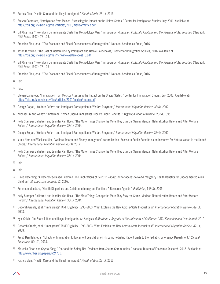- Patrick Glen, "Health Care and the Illegal Immigrant," *Health Matrix*, 23(1), 2013.
- Steven Camarota, "Immigration from Mexico: Assessing the Impact on the United States," Center for Immigration Studies, July 2001. Available at: https://cis.org/sites/cis.org/files/articles/2001/mexico/mexico.pdf.
- Bill Ong Hing, "How Much Do Immigrants Cost? The Methodology Wars," in: *To Be an American: Cultural Pluralism and the Rhetoric of Assimilation* (New York: NYU Press, 1997), 76-106.
- Francine Blau, et al, "The Economic and Fiscal Consequences of Immigration," National Academies Press, 2016.
- Jason Richwine, "The Cost of Welfare Use by Immigrant and Native Households," Center for Immigration Studies, 2016. Available at: https://cis.org/sites/cis.org/files/richwine-welfare-cost\_0.pdf.
- Bill Ong Hing, "How Much Do Immigrants Cost? The Methodology Wars," in: *To Be an American: Cultural Pluralism and the Rhetoric of Assimilation* (New York: NYU Press, 1997), 76-106.
- Francine Blau, et al, "The Economic and Fiscal Consequences of Immigration," National Academies Press, 2016.
- Ibid.
- Ibid.
- Steven Camarota, "Immigration from Mexico: Assessing the Impact on the United States," Center for Immigration Studies, July 2001. Available at: https://cis.org/sites/cis.org/files/articles/2001/mexico/mexico.pdf.
- George Borjas, "Welfare Reform and Immigrant Participation in Welfare Programs," *International Migration Review*, 36(4), 2002.
- Michael Fix and Wendy Zimmerman, "When Should Immigrants Receive Public Benefits?" *Migration World Magazine*, 23(5), 1995.
- Kelly Stamper Ballistreri and Jennifer Van Hook, "The More Things Change the More They Stay the Same: Mexican Naturalization Before and After Welfare Reform," *International Migration Review*, 38(1), 2004.
- George Borjas, "Welfare Reform and Immigrant Participation in Welfare Programs," *International Migration Review*, 36(4), 2002.
- Yunju Nam and Wooksoo Kim, "Welfare Reform and Elderly Immigrants' Naturalization: Access to Public Benefits as an Incentive for Naturalization in the United States," *International Migration Review*, 46(3), 2012.
- Kelly Stamper Ballistreri and Jennifer Van Hook, "The More Things Change the More They Stay the Same: Mexican Naturalization Before and After Welfare Reform," *International Migration Review*, 38(1), 2004.
- Ibid.
- Ibid.
- David Deterding, "A Deference-Based Dilemma: The Implications of *Lewis v. Thompson* for Access to Non-Emergency Health Benefits for Undocumented Alien Children," *St. Louis Law Journal*, 52, 2008.
- Fernando Mendoza, "Health Disparities and Children in Immigrant Families: A Research Agenda," *Pediatrics*, 143(3), 2009.
- Kelly Stamper Ballistreri and Jennifer Van Hook, "The More Things Change the More They Stay the Same: Mexican Naturalization Before and After Welfare Reform," *International Migration Review*, 38(1), 2004.
- Deborah Graefe, et al, "Immigrants' TANF Eligibility, 1996-2003: What Explains the New Across-State Inequalities?" *International Migration Review*, 42(1), 2008.
- Kyle Colvin, "In-State Tuition and Illegal Immigrants: An Analysis of *Martinez v. Regents of the University of California*," *BYU Education and Law Journal*, 2010.
- Deborah Graefe, et al, "Immigrants' TANF Eligibility, 1996-2003: What Explains the New Across-State Inequalities?" *International Migration Review*, 42(1), 2008.
- Jacob Beniflah, et al, "Effects of Immigration Enforcement Legislation on Hispanic Pediatric Patient Visits to the Pediatric Emergency Department," *Clinical Pediatrics*, 52(12), 2013.
- Marcella Alsan and Crystal Yang, "Fear and the Safety Net: Evidence from Secure Communities," National Bureau of Economic Research, 2018. Available at: http://www.nber.org/papers/w24731.
- Patrick Glen, "Health Care and the Illegal Immigrant," *Health Matrix*, 23(1), 2013.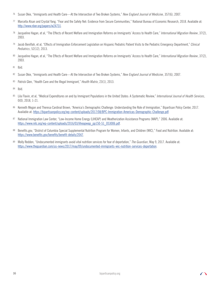- <sup>76</sup> Susan Okie, "Immigrants and Health Care—At the Intersection of Two Broken Systems," *New England Journal of Medicine*, 357(6), 2007.
- <sup>77</sup> Marcella Alsan and Crystal Yang, "Fear and the Safety Net: Evidence from Secure Communities," National Bureau of Economic Research, 2018. Available at: http://www.nber.org/papers/w24731.
- <sup>78</sup> Jacqueline Hagan, et al, "The Effects of Recent Welfare and Immigration Reforms on Immigrants' Access to Health Care," *International Migration Review*, 37(2), 2003.
- <sup>79</sup> Jacob Beniflah, et al, "Effects of Immigration Enforcement Legislation on Hispanic Pediatric Patient Visits to the Pediatric Emergency Department," *Clinical Pediatrics*, 52(12), 2013.
- <sup>80</sup> Jacqueline Hagan, et al, "The Effects of Recent Welfare and Immigration Reforms on Immigrants' Access to Health Care," *International Migration Review*, 37(2), 2003.
- <sup>81</sup> Ibid.
- <sup>82</sup> Susan Okie, "Immigrants and Health Care—At the Intersection of Two Broken Systems," *New England Journal of Medicine*, 357(6), 2007.
- <sup>83</sup> Patrick Glen, "Health Care and the Illegal Immigrant," *Health Matrix*, 23(1), 2013.
- <sup>84</sup> Ibid.
- <sup>85</sup> Lila Flavin, et al, "Medical Expenditures on and by Immigrant Populations in the United States: A Systematic Review," *International Journal of Health Services*, 0(0), 2018, 1-21.
- <sup>86</sup> Kenneth Megan and Theresa Cardinal Brown, "America's Demographic Challenge: Understanding the Role of Immigration," Bipartisan Policy Center, 2017. Available at: https://bipartisanpolicy.org/wp-content/uploads/2017/08/BPC-Immigration-Americas-Demographic-Challenge.pdf.
- <sup>87</sup> National Immigration Law Center, "Low-Income Home Energy (LIHEAP) and Weatherization Assistance Programs (WAP)," 2006. Available at: https://www.nilc.org/wp-content/uploads/2016/03/liheapwap\_pp150-51\_053006.pdf.
- 88 Benefits.gov, "District of Columbia Special Supplemental Nutrition Program for Women, Infants, and Children (WIC)," Food and Nutrition. Available at: https://www.benefits.gov/benefits/benefit-details/2047.
- <sup>89</sup> Molly Redden, "Undocumented immigrants avoid vital nutrition services for fear of deportation," *The Guardian*, May 9, 2017. Available at: https://www.theguardian.com/us-news/2017/may/09/undocumented-immigrants-wic-nutrition-services-deportation.

 $\sqrt{ }$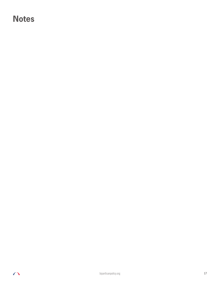## **Notes**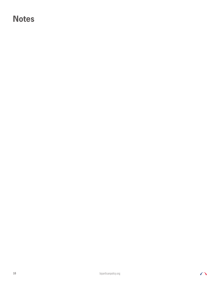## **Notes**

$$
\bigcap
$$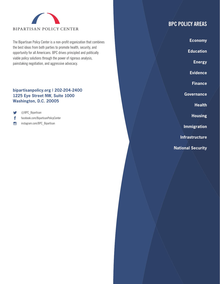

The Bipartisan Policy Center is a non-profit organization that combines the best ideas from both parties to promote health, security, and opportunity for all Americans. BPC drives principled and politically viable policy solutions through the power of rigorous analysis, painstaking negotiation, and aggressive advocacy.

#### **bipartisanpolicy.org | 202-204-2400 1225 Eye Street NW, Suite 1000 Washington, D.C. 20005**

V @BPC\_Bipartisan

f facebook.com/BipartisanPolicyCenter

 $\sigma$ instagram.com/BPC\_Bipartisan

## **BPC POLICY AREAS**

**Economy**

**Education**

**Energy**

**Evidence**

**Finance**

**Governance**

**Health**

**Housing**

**Immigration**

**Infrastructure**

**National Security**